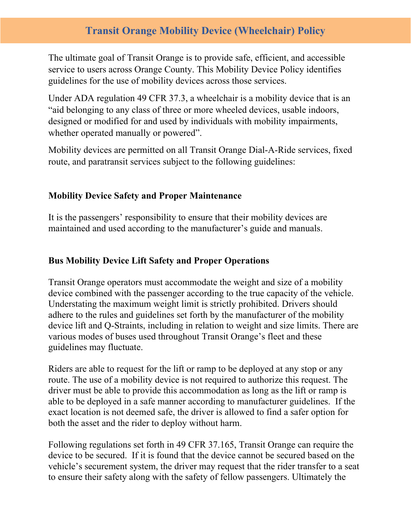# **Transit Orange Mobility Device (Wheelchair) Policy**

The ultimate goal of Transit Orange is to provide safe, efficient, and accessible service to users across Orange County. This Mobility Device Policy identifies guidelines for the use of mobility devices across those services.

Under ADA regulation 49 CFR 37.3, a wheelchair is a mobility device that is an "aid belonging to any class of three or more wheeled devices, usable indoors, designed or modified for and used by individuals with mobility impairments, whether operated manually or powered".

Mobility devices are permitted on all Transit Orange Dial-A-Ride services, fixed route, and paratransit services subject to the following guidelines:

## **Mobility Device Safety and Proper Maintenance**

It is the passengers' responsibility to ensure that their mobility devices are maintained and used according to the manufacturer's guide and manuals.

### **Bus Mobility Device Lift Safety and Proper Operations**

Transit Orange operators must accommodate the weight and size of a mobility device combined with the passenger according to the true capacity of the vehicle. Understating the maximum weight limit is strictly prohibited. Drivers should adhere to the rules and guidelines set forth by the manufacturer of the mobility device lift and Q-Straints, including in relation to weight and size limits. There are various modes of buses used throughout Transit Orange's fleet and these guidelines may fluctuate.

Riders are able to request for the lift or ramp to be deployed at any stop or any route. The use of a mobility device is not required to authorize this request. The driver must be able to provide this accommodation as long as the lift or ramp is able to be deployed in a safe manner according to manufacturer guidelines. If the exact location is not deemed safe, the driver is allowed to find a safer option for both the asset and the rider to deploy without harm.

Following regulations set forth in 49 CFR 37.165, Transit Orange can require the device to be secured. If it is found that the device cannot be secured based on the vehicle's securement system, the driver may request that the rider transfer to a seat to ensure their safety along with the safety of fellow passengers. Ultimately the